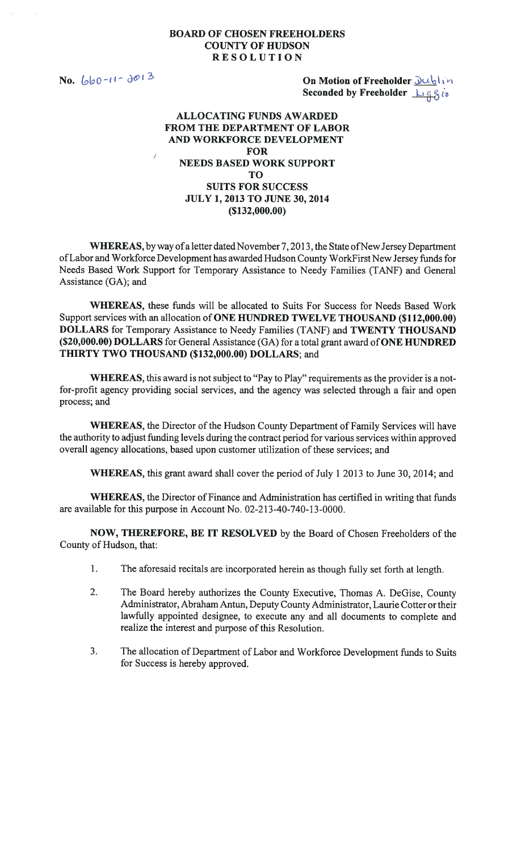## BOARD OF CHOSEN FREEHOLDERS COUNTY OF HUDSON RESOLUTION

No.  $660 - 11 - 301^2$  On Motion of Freeholder <u>Dub</u>lin Seconded by Freeholder Liggin

## ALLOCATING FUNDS AWARDED FROM THE DEPARTMENT OF LABOR AND WORKFORCE DEVELOPMENT / FOR NEEDS BASED WORK SUPPORT TO SUITS FOR SUCCESS JULY 1, 2013 TO JUNE 30, 2014 (\$132,000.00)

WHEREAS, by way of a letter dated November 7, 2013, the State of New Jersey Department ofLabor and Workforce Development has awarded Hudson County WorkFirst New Jersey funds for Needs Based Work Support for Temporary Assistance to Needy Families (TANF) and General Assistance (GA); and

WHEREAS, these funds will be allocated to Suits For Success for Needs Based Work Support services with an allocation of ONE HUNDRED TWELVE THOUSAND (\$112,000.00) DOLLARS for Temporary Assistance to Needy Families (TANF) and TWENTY THOUSAND  $(S20,000.00)$  DOLLARS for General Assistance  $(GA)$  for a total grant award of ONE HUNDRED THIRTY TWO THOUSAND (\$132,000.00) DOLLARS; and

WHEREAS, this award is not subject to "Pay to Play" requirements as the provider is a notfor-profit agency providing social services, and the agency was selected through a fair and open process; and

WHEREAS, the Director of the Hudson County Department of Family Services will have the authority to adjust funding levels during the contract period for various services within approved overall agency allocations, based upon customer utilization of these services; and

WHEREAS, this grant award shall cover the period of July 1 2013 to June 30, 2014; and

WHEREAS, the Director of Finance and Administration has certified in writing that funds are available for this purpose in Account No. 02-213-40-740-13-0000.

NOW, THEREFORE, BE IT RESOLVED by the Board of Chosen Freeholders of the County of Hudson, that:

- 1. The aforesaid recitals are incorporated herein as though fully set forth at length.
- 2. The Board hereby authorizes the County Executive, Thomas A. DeGise, County Administrator, Abraham Antun, Deputy County Administrator, Laurie Cotter or their lawfully appointed designee, to execute any and all documents to complete and realize the interest and purpose of this Resolution.
- 3. The allocation of Department of Labor and Workforce Development funds to Suits for Success is hereby approved.